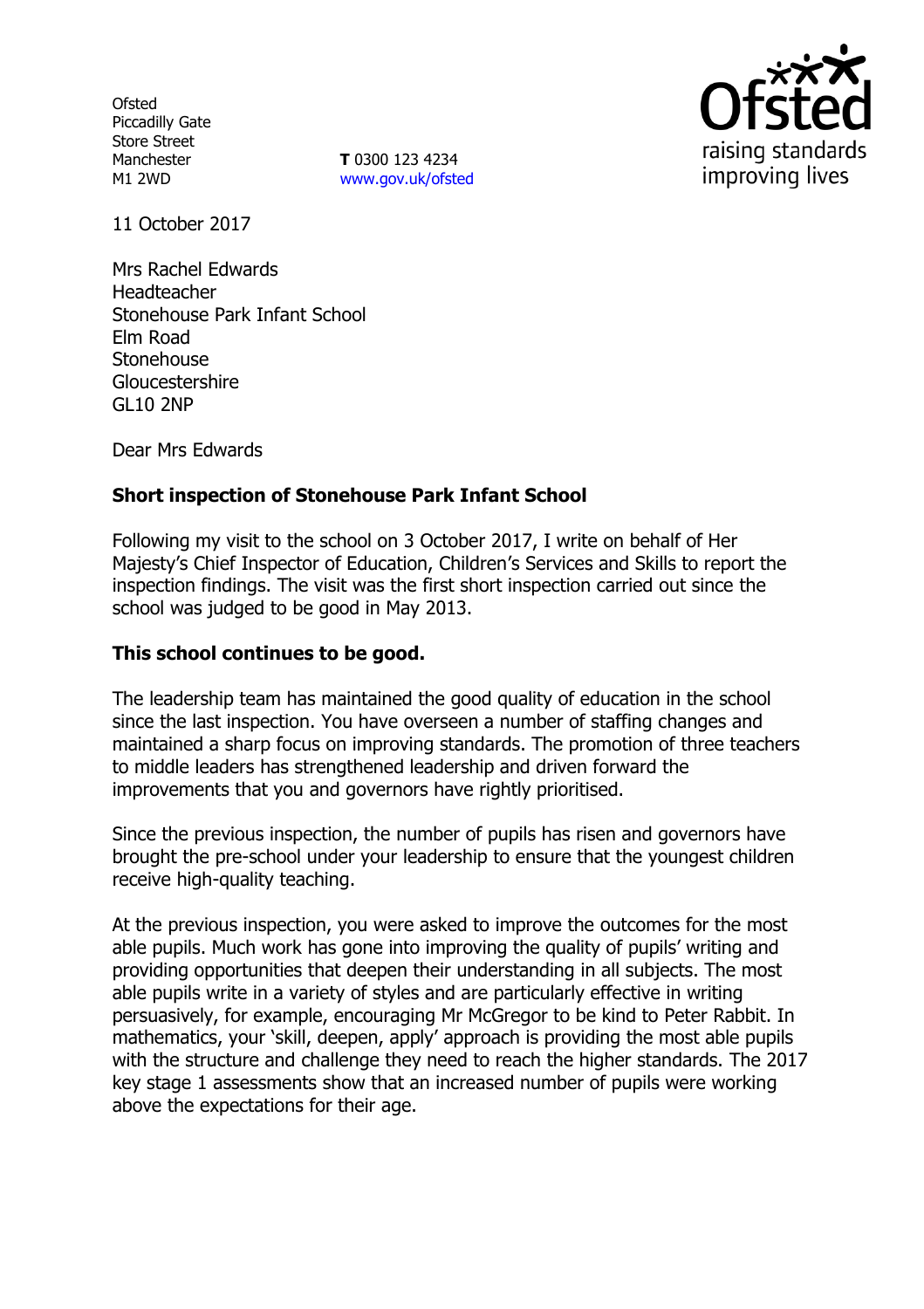**Ofsted** Piccadilly Gate Store Street Manchester M1 2WD

**T** 0300 123 4234 www.gov.uk/ofsted



11 October 2017

Mrs Rachel Edwards Headteacher Stonehouse Park Infant School Elm Road Stonehouse Gloucestershire GL10 2NP

Dear Mrs Edwards

# **Short inspection of Stonehouse Park Infant School**

Following my visit to the school on 3 October 2017, I write on behalf of Her Majesty's Chief Inspector of Education, Children's Services and Skills to report the inspection findings. The visit was the first short inspection carried out since the school was judged to be good in May 2013.

#### **This school continues to be good.**

The leadership team has maintained the good quality of education in the school since the last inspection. You have overseen a number of staffing changes and maintained a sharp focus on improving standards. The promotion of three teachers to middle leaders has strengthened leadership and driven forward the improvements that you and governors have rightly prioritised.

Since the previous inspection, the number of pupils has risen and governors have brought the pre-school under your leadership to ensure that the youngest children receive high-quality teaching.

At the previous inspection, you were asked to improve the outcomes for the most able pupils. Much work has gone into improving the quality of pupils' writing and providing opportunities that deepen their understanding in all subjects. The most able pupils write in a variety of styles and are particularly effective in writing persuasively, for example, encouraging Mr McGregor to be kind to Peter Rabbit. In mathematics, your 'skill, deepen, apply' approach is providing the most able pupils with the structure and challenge they need to reach the higher standards. The 2017 key stage 1 assessments show that an increased number of pupils were working above the expectations for their age.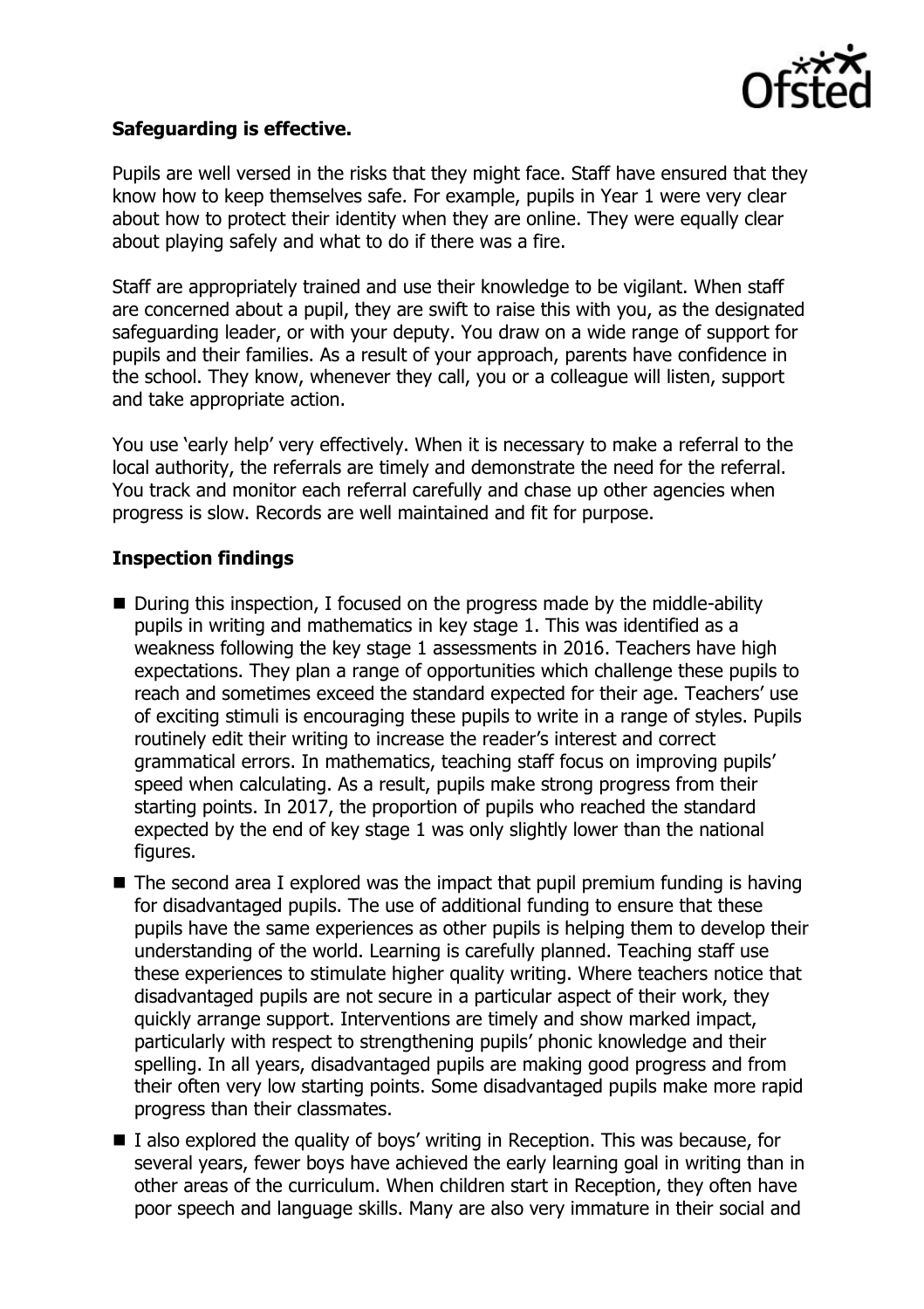

## **Safeguarding is effective.**

Pupils are well versed in the risks that they might face. Staff have ensured that they know how to keep themselves safe. For example, pupils in Year 1 were very clear about how to protect their identity when they are online. They were equally clear about playing safely and what to do if there was a fire.

Staff are appropriately trained and use their knowledge to be vigilant. When staff are concerned about a pupil, they are swift to raise this with you, as the designated safeguarding leader, or with your deputy. You draw on a wide range of support for pupils and their families. As a result of your approach, parents have confidence in the school. They know, whenever they call, you or a colleague will listen, support and take appropriate action.

You use 'early help' very effectively. When it is necessary to make a referral to the local authority, the referrals are timely and demonstrate the need for the referral. You track and monitor each referral carefully and chase up other agencies when progress is slow. Records are well maintained and fit for purpose.

#### **Inspection findings**

- During this inspection, I focused on the progress made by the middle-ability pupils in writing and mathematics in key stage 1. This was identified as a weakness following the key stage 1 assessments in 2016. Teachers have high expectations. They plan a range of opportunities which challenge these pupils to reach and sometimes exceed the standard expected for their age. Teachers' use of exciting stimuli is encouraging these pupils to write in a range of styles. Pupils routinely edit their writing to increase the reader's interest and correct grammatical errors. In mathematics, teaching staff focus on improving pupils' speed when calculating. As a result, pupils make strong progress from their starting points. In 2017, the proportion of pupils who reached the standard expected by the end of key stage 1 was only slightly lower than the national figures.
- $\blacksquare$  The second area I explored was the impact that pupil premium funding is having for disadvantaged pupils. The use of additional funding to ensure that these pupils have the same experiences as other pupils is helping them to develop their understanding of the world. Learning is carefully planned. Teaching staff use these experiences to stimulate higher quality writing. Where teachers notice that disadvantaged pupils are not secure in a particular aspect of their work, they quickly arrange support. Interventions are timely and show marked impact, particularly with respect to strengthening pupils' phonic knowledge and their spelling. In all years, disadvantaged pupils are making good progress and from their often very low starting points. Some disadvantaged pupils make more rapid progress than their classmates.
- $\blacksquare$  I also explored the quality of boys' writing in Reception. This was because, for several years, fewer boys have achieved the early learning goal in writing than in other areas of the curriculum. When children start in Reception, they often have poor speech and language skills. Many are also very immature in their social and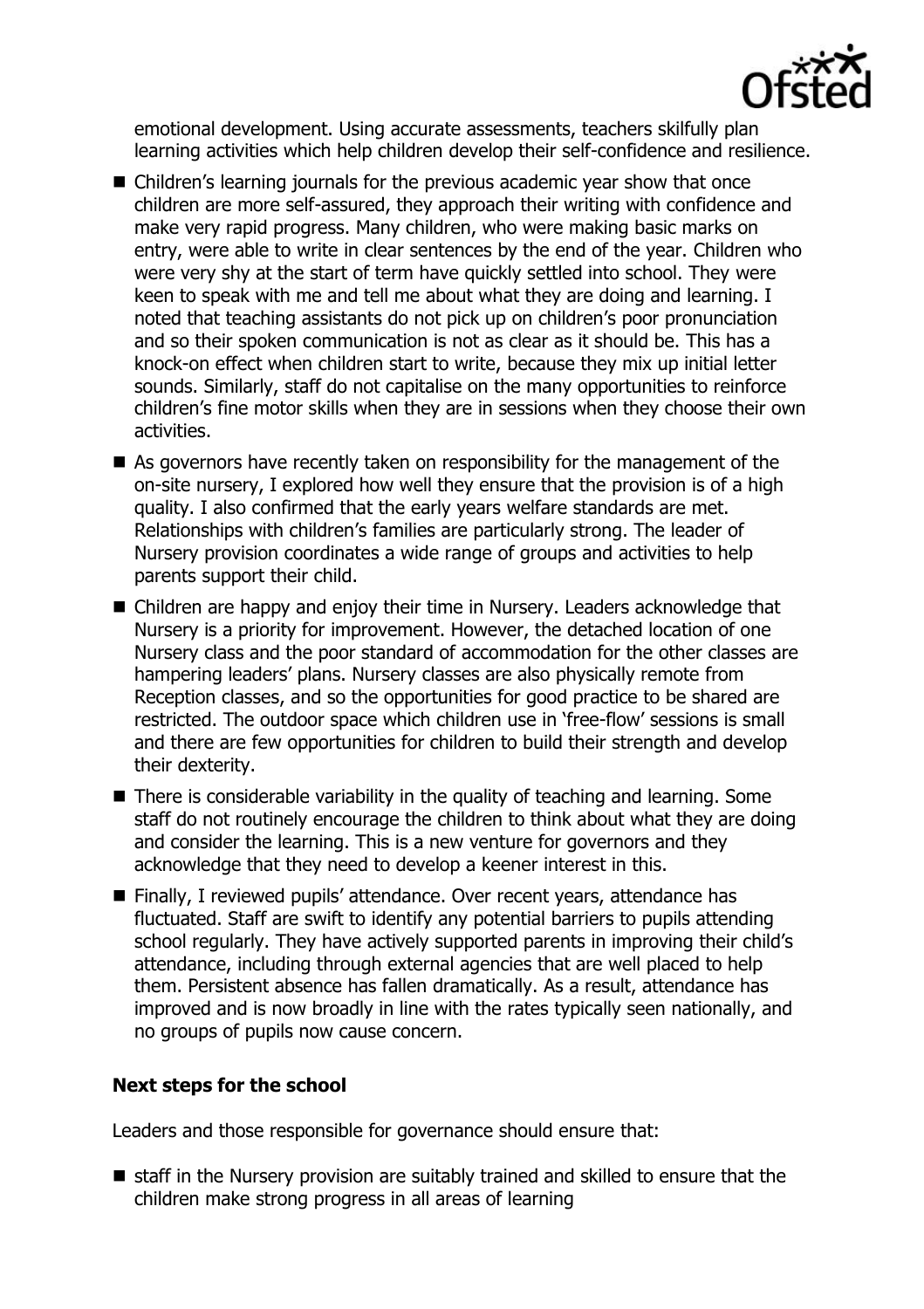

emotional development. Using accurate assessments, teachers skilfully plan learning activities which help children develop their self-confidence and resilience.

- Children's learning journals for the previous academic year show that once children are more self-assured, they approach their writing with confidence and make very rapid progress. Many children, who were making basic marks on entry, were able to write in clear sentences by the end of the year. Children who were very shy at the start of term have quickly settled into school. They were keen to speak with me and tell me about what they are doing and learning. I noted that teaching assistants do not pick up on children's poor pronunciation and so their spoken communication is not as clear as it should be. This has a knock-on effect when children start to write, because they mix up initial letter sounds. Similarly, staff do not capitalise on the many opportunities to reinforce children's fine motor skills when they are in sessions when they choose their own activities.
- As governors have recently taken on responsibility for the management of the on-site nursery, I explored how well they ensure that the provision is of a high quality. I also confirmed that the early years welfare standards are met. Relationships with children's families are particularly strong. The leader of Nursery provision coordinates a wide range of groups and activities to help parents support their child.
- Children are happy and enjoy their time in Nursery. Leaders acknowledge that Nursery is a priority for improvement. However, the detached location of one Nursery class and the poor standard of accommodation for the other classes are hampering leaders' plans. Nursery classes are also physically remote from Reception classes, and so the opportunities for good practice to be shared are restricted. The outdoor space which children use in 'free-flow' sessions is small and there are few opportunities for children to build their strength and develop their dexterity.
- $\blacksquare$  There is considerable variability in the quality of teaching and learning. Some staff do not routinely encourage the children to think about what they are doing and consider the learning. This is a new venture for governors and they acknowledge that they need to develop a keener interest in this.
- Finally, I reviewed pupils' attendance. Over recent years, attendance has fluctuated. Staff are swift to identify any potential barriers to pupils attending school regularly. They have actively supported parents in improving their child's attendance, including through external agencies that are well placed to help them. Persistent absence has fallen dramatically. As a result, attendance has improved and is now broadly in line with the rates typically seen nationally, and no groups of pupils now cause concern.

#### **Next steps for the school**

Leaders and those responsible for governance should ensure that:

 staff in the Nursery provision are suitably trained and skilled to ensure that the children make strong progress in all areas of learning